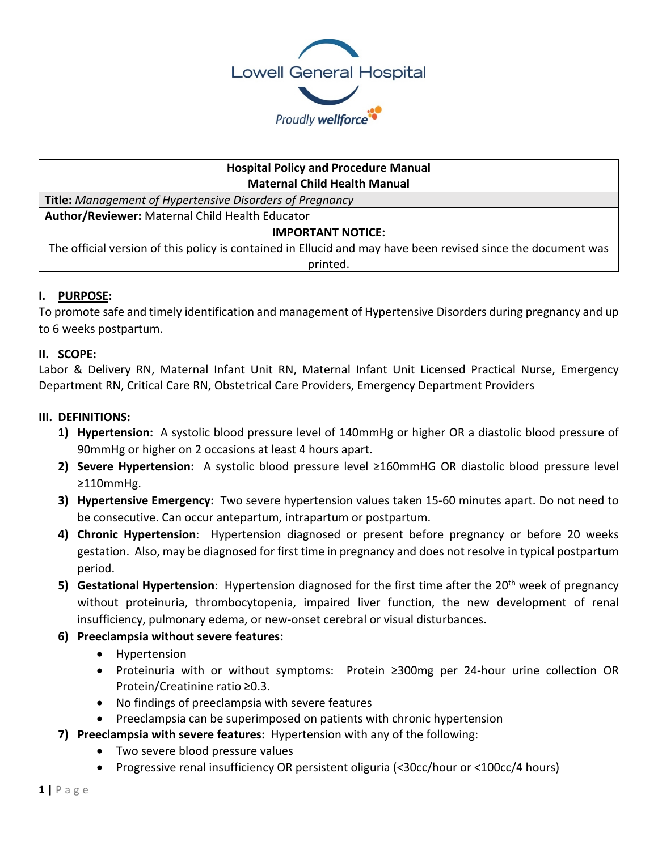

## **Hospital Policy and Procedure Manual Maternal Child Health Manual**

**Title:** *Management of Hypertensive Disorders of Pregnancy*

**Author/Reviewer:** Maternal Child Health Educator

# **IMPORTANT NOTICE:**

The official version of this policy is contained in Ellucid and may have been revised since the document was printed.

# **I. PURPOSE:**

To promote safe and timely identification and management of Hypertensive Disorders during pregnancy and up to 6 weeks postpartum.

# **II. SCOPE:**

Labor & Delivery RN, Maternal Infant Unit RN, Maternal Infant Unit Licensed Practical Nurse, Emergency Department RN, Critical Care RN, Obstetrical Care Providers, Emergency Department Providers

# **III. DEFINITIONS:**

- **1) Hypertension:** A systolic blood pressure level of 140mmHg or higher OR a diastolic blood pressure of 90mmHg or higher on 2 occasions at least 4 hours apart.
- **2) Severe Hypertension:** A systolic blood pressure level ≥160mmHG OR diastolic blood pressure level ≥110mmHg.
- **3) Hypertensive Emergency:** Two severe hypertension values taken 15-60 minutes apart. Do not need to be consecutive. Can occur antepartum, intrapartum or postpartum.
- **4) Chronic Hypertension**: Hypertension diagnosed or present before pregnancy or before 20 weeks gestation. Also, may be diagnosed for first time in pregnancy and does not resolve in typical postpartum period.
- **5) Gestational Hypertension**: Hypertension diagnosed for the first time after the 20<sup>th</sup> week of pregnancy without proteinuria, thrombocytopenia, impaired liver function, the new development of renal insufficiency, pulmonary edema, or new-onset cerebral or visual disturbances.
- **6) Preeclampsia without severe features:** 
	- Hypertension
	- Proteinuria with or without symptoms: Protein ≥300mg per 24-hour urine collection OR Protein/Creatinine ratio ≥0.3.
	- No findings of preeclampsia with severe features
	- Preeclampsia can be superimposed on patients with chronic hypertension
- **7) Preeclampsia with severe features:** Hypertension with any of the following:
	- Two severe blood pressure values
	- Progressive renal insufficiency OR persistent oliguria (<30cc/hour or <100cc/4 hours)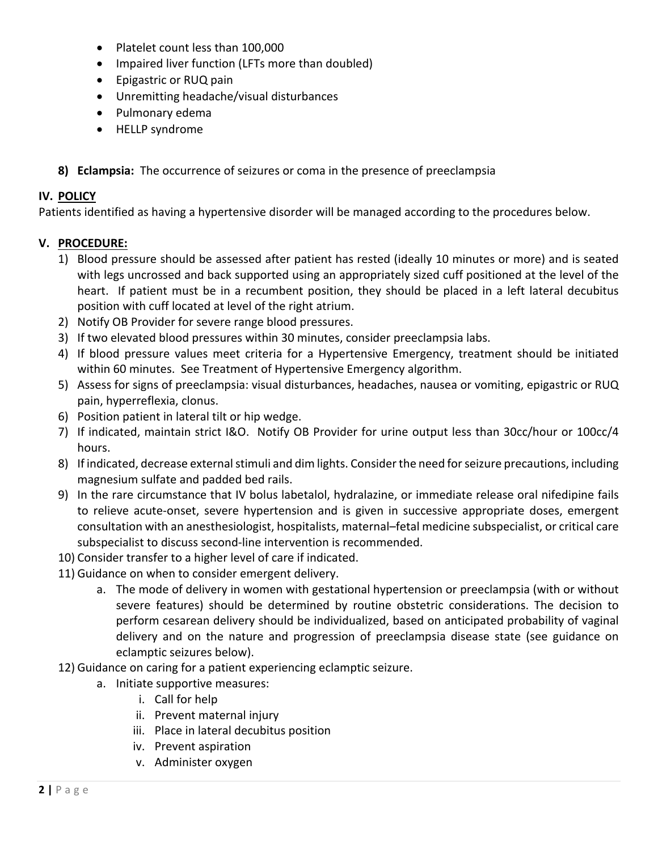- Platelet count less than 100,000
- Impaired liver function (LFTs more than doubled)
- Epigastric or RUQ pain
- Unremitting headache/visual disturbances
- Pulmonary edema
- HELLP syndrome
- **8) Eclampsia:** The occurrence of seizures or coma in the presence of preeclampsia

## **IV. POLICY**

Patients identified as having a hypertensive disorder will be managed according to the procedures below.

## **V. PROCEDURE:**

- 1) Blood pressure should be assessed after patient has rested (ideally 10 minutes or more) and is seated with legs uncrossed and back supported using an appropriately sized cuff positioned at the level of the heart. If patient must be in a recumbent position, they should be placed in a left lateral decubitus position with cuff located at level of the right atrium.
- 2) Notify OB Provider for severe range blood pressures.
- 3) If two elevated blood pressures within 30 minutes, consider preeclampsia labs.
- 4) If blood pressure values meet criteria for a Hypertensive Emergency, treatment should be initiated within 60 minutes. See Treatment of Hypertensive Emergency algorithm.
- 5) Assess for signs of preeclampsia: visual disturbances, headaches, nausea or vomiting, epigastric or RUQ pain, hyperreflexia, clonus.
- 6) Position patient in lateral tilt or hip wedge.
- 7) If indicated, maintain strict I&O. Notify OB Provider for urine output less than 30cc/hour or 100cc/4 hours.
- 8) If indicated, decrease external stimuli and dim lights. Consider the need for seizure precautions, including magnesium sulfate and padded bed rails.
- 9) In the rare circumstance that IV bolus labetalol, hydralazine, or immediate release oral nifedipine fails to relieve acute-onset, severe hypertension and is given in successive appropriate doses, emergent consultation with an anesthesiologist, hospitalists, maternal–fetal medicine subspecialist, or critical care subspecialist to discuss second-line intervention is recommended.
- 10) Consider transfer to a higher level of care if indicated.
- 11) Guidance on when to consider emergent delivery.
	- a. The mode of delivery in women with gestational hypertension or preeclampsia (with or without severe features) should be determined by routine obstetric considerations. The decision to perform cesarean delivery should be individualized, based on anticipated probability of vaginal delivery and on the nature and progression of preeclampsia disease state (see guidance on eclamptic seizures below).
- 12) Guidance on caring for a patient experiencing eclamptic seizure.
	- a. Initiate supportive measures:
		- i. Call for help
		- ii. Prevent maternal injury
		- iii. Place in lateral decubitus position
		- iv. Prevent aspiration
		- v. Administer oxygen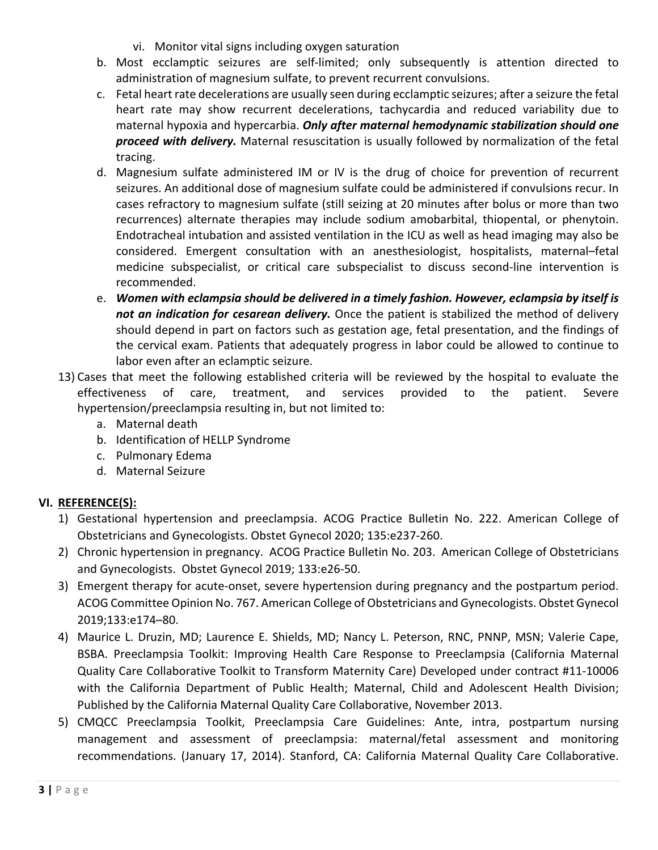- vi. Monitor vital signs including oxygen saturation
- b. Most ecclamptic seizures are self-limited; only subsequently is attention directed to administration of magnesium sulfate, to prevent recurrent convulsions.
- c. Fetal heart rate decelerations are usually seen during ecclamptic seizures; after a seizure the fetal heart rate may show recurrent decelerations, tachycardia and reduced variability due to maternal hypoxia and hypercarbia. *Only after maternal hemodynamic stabilization should one proceed with delivery.* Maternal resuscitation is usually followed by normalization of the fetal tracing.
- d. Magnesium sulfate administered IM or IV is the drug of choice for prevention of recurrent seizures. An additional dose of magnesium sulfate could be administered if convulsions recur. In cases refractory to magnesium sulfate (still seizing at 20 minutes after bolus or more than two recurrences) alternate therapies may include sodium amobarbital, thiopental, or phenytoin. Endotracheal intubation and assisted ventilation in the ICU as well as head imaging may also be considered. Emergent consultation with an anesthesiologist, hospitalists, maternal–fetal medicine subspecialist, or critical care subspecialist to discuss second-line intervention is recommended.
- e. *Women with eclampsia should be delivered in a timely fashion. However, eclampsia by itself is not an indication for cesarean delivery.* Once the patient is stabilized the method of delivery should depend in part on factors such as gestation age, fetal presentation, and the findings of the cervical exam. Patients that adequately progress in labor could be allowed to continue to labor even after an eclamptic seizure.
- 13) Cases that meet the following established criteria will be reviewed by the hospital to evaluate the effectiveness of care, treatment, and services provided to the patient. Severe hypertension/preeclampsia resulting in, but not limited to:
	- a. Maternal death
	- b. Identification of HELLP Syndrome
	- c. Pulmonary Edema
	- d. Maternal Seizure

# **VI. REFERENCE(S):**

- 1) Gestational hypertension and preeclampsia. ACOG Practice Bulletin No. 222. American College of Obstetricians and Gynecologists. Obstet Gynecol 2020; 135:e237-260.
- 2) Chronic hypertension in pregnancy. ACOG Practice Bulletin No. 203. American College of Obstetricians and Gynecologists. Obstet Gynecol 2019; 133:e26-50.
- 3) Emergent therapy for acute-onset, severe hypertension during pregnancy and the postpartum period. ACOG Committee Opinion No. 767. American College of Obstetricians and Gynecologists. Obstet Gynecol 2019;133:e174–80.
- 4) Maurice L. Druzin, MD; Laurence E. Shields, MD; Nancy L. Peterson, RNC, PNNP, MSN; Valerie Cape, BSBA. Preeclampsia Toolkit: Improving Health Care Response to Preeclampsia (California Maternal Quality Care Collaborative Toolkit to Transform Maternity Care) Developed under contract #11-10006 with the California Department of Public Health; Maternal, Child and Adolescent Health Division; Published by the California Maternal Quality Care Collaborative, November 2013.
- 5) CMQCC Preeclampsia Toolkit, Preeclampsia Care Guidelines: Ante, intra, postpartum nursing management and assessment of preeclampsia: maternal/fetal assessment and monitoring recommendations. (January 17, 2014). Stanford, CA: California Maternal Quality Care Collaborative.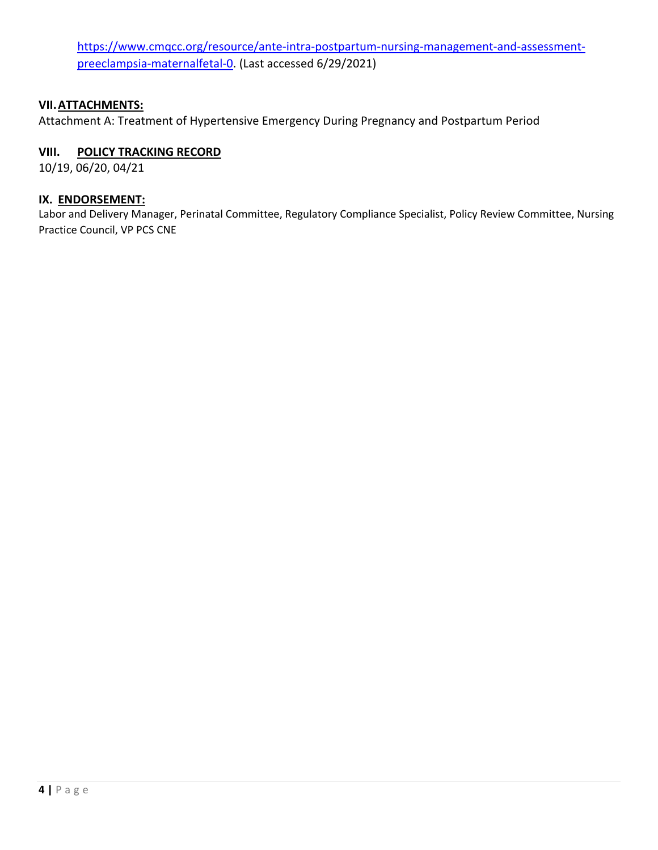[https://www.cmqcc.org/resource/ante-intra-postpartum-nursing-management-and-assessment](https://www.cmqcc.org/resource/ante-intra-postpartum-nursing-management-and-assessment-preeclampsia-maternalfetal-0)[preeclampsia-maternalfetal-0.](https://www.cmqcc.org/resource/ante-intra-postpartum-nursing-management-and-assessment-preeclampsia-maternalfetal-0) (Last accessed 6/29/2021)

#### **VII.ATTACHMENTS:**

Attachment A: Treatment of Hypertensive Emergency During Pregnancy and Postpartum Period

#### **VIII. POLICY TRACKING RECORD**

10/19, 06/20, 04/21

#### **IX. ENDORSEMENT:**

Labor and Delivery Manager, Perinatal Committee, Regulatory Compliance Specialist, Policy Review Committee, Nursing Practice Council, VP PCS CNE